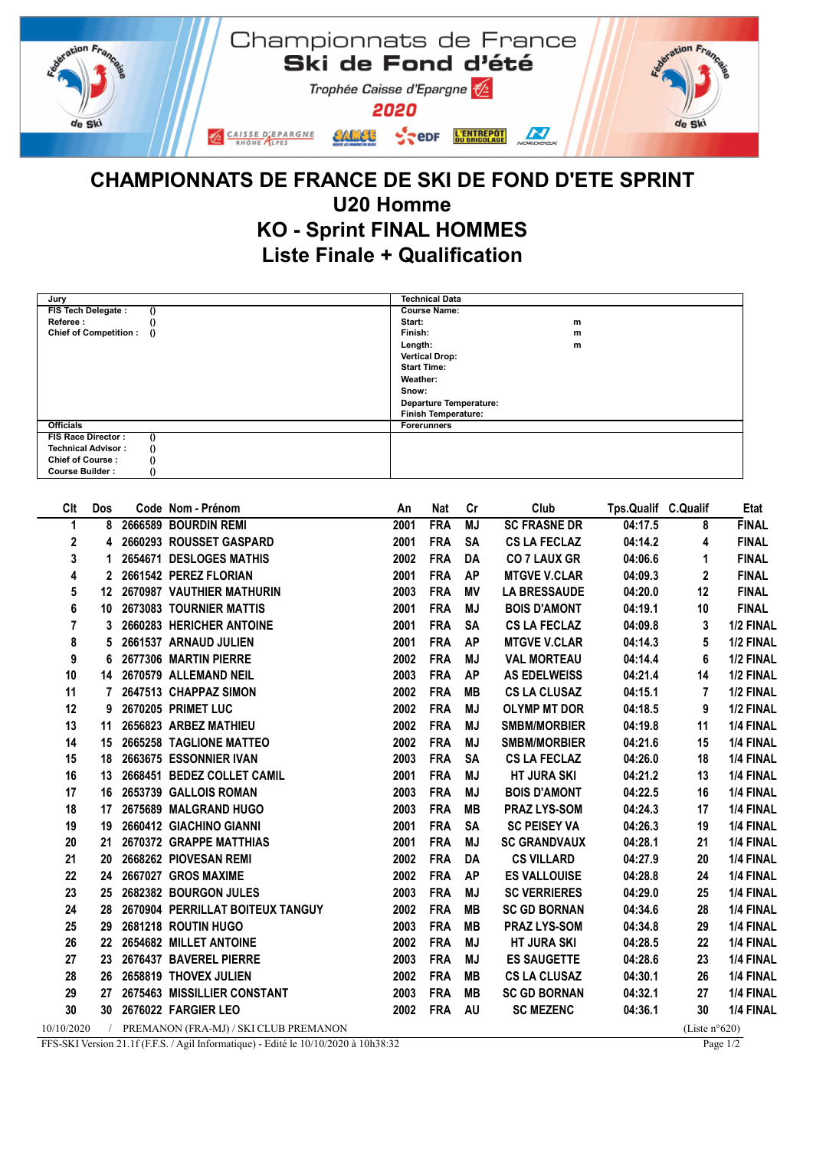

## CHAMPIONNATS DE FRANCE DE SKI DE FOND D'ETE SPRINT U20 Homme KO - Sprint FINAL HOMMES Liste Finale + Qualification

| Jury                                     | <b>Technical Data</b>         |   |
|------------------------------------------|-------------------------------|---|
| FIS Tech Delegate :<br>$\theta$          | <b>Course Name:</b>           |   |
| Referee:<br>$\theta$                     | Start:                        | m |
| $\theta$<br><b>Chief of Competition:</b> | Finish:                       | m |
|                                          | Length:                       | m |
|                                          | <b>Vertical Drop:</b>         |   |
|                                          | <b>Start Time:</b>            |   |
|                                          | Weather:                      |   |
|                                          | Snow:                         |   |
|                                          | <b>Departure Temperature:</b> |   |
|                                          | <b>Finish Temperature:</b>    |   |
| <b>Officials</b>                         | <b>Forerunners</b>            |   |
| <b>FIS Race Director:</b><br>$\theta$    |                               |   |
| $\theta$<br><b>Technical Advisor:</b>    |                               |   |
| $\theta$<br><b>Chief of Course:</b>      |                               |   |
| $\theta$<br><b>Course Builder:</b>       |                               |   |

| Clt               | Dos              | Code Nom - Prénom                       | An   | <b>Nat</b> | Cr        | Club                | Tps.Qualif C.Qualif |                  | Etat         |
|-------------------|------------------|-----------------------------------------|------|------------|-----------|---------------------|---------------------|------------------|--------------|
| 1                 | 8                | 2666589 BOURDIN REMI                    | 2001 | <b>FRA</b> | <b>MJ</b> | <b>SC FRASNE DR</b> | 04:17.5             | 8                | <b>FINAL</b> |
| $\mathbf{2}$      | 4                | 2660293 ROUSSET GASPARD                 | 2001 | <b>FRA</b> | <b>SA</b> | <b>CS LA FECLAZ</b> | 04:14.2             | 4                | <b>FINAL</b> |
| 3                 | 1                | 2654671 DESLOGES MATHIS                 | 2002 | <b>FRA</b> | DA        | <b>CO 7 LAUX GR</b> | 04:06.6             | 1                | <b>FINAL</b> |
| 4                 | 2                | 2661542 PEREZ FLORIAN                   | 2001 | <b>FRA</b> | <b>AP</b> | <b>MTGVE V.CLAR</b> | 04:09.3             | $\mathbf{2}$     | <b>FINAL</b> |
| 5                 | 12 <sup>12</sup> | 2670987 VAUTHIER MATHURIN               | 2003 | <b>FRA</b> | MV        | <b>LA BRESSAUDE</b> | 04:20.0             | 12               | <b>FINAL</b> |
| 6                 | 10               | 2673083 TOURNIER MATTIS                 | 2001 | <b>FRA</b> | MJ        | <b>BOIS D'AMONT</b> | 04:19.1             | 10               | <b>FINAL</b> |
| 7                 | 3                | 2660283 HERICHER ANTOINE                | 2001 | <b>FRA</b> | <b>SA</b> | <b>CS LA FECLAZ</b> | 04:09.8             | 3                | 1/2 FINAL    |
| 8                 | 5                | 2661537 ARNAUD JULIEN                   | 2001 | <b>FRA</b> | <b>AP</b> | <b>MTGVE V.CLAR</b> | 04:14.3             | 5                | 1/2 FINAL    |
| 9                 | 6                | 2677306 MARTIN PIERRE                   | 2002 | <b>FRA</b> | <b>MJ</b> | <b>VAL MORTEAU</b>  | 04:14.4             | 6                | 1/2 FINAL    |
| 10                |                  | 14 2670579 ALLEMAND NEIL                | 2003 | <b>FRA</b> | <b>AP</b> | <b>AS EDELWEISS</b> | 04:21.4             | 14               | 1/2 FINAL    |
| 11                |                  | 2647513 CHAPPAZ SIMON                   | 2002 | <b>FRA</b> | MВ        | <b>CS LA CLUSAZ</b> | 04:15.1             | 7                | 1/2 FINAL    |
| $12 \overline{ }$ | 9                | 2670205 PRIMET LUC                      | 2002 | <b>FRA</b> | <b>MJ</b> | <b>OLYMP MT DOR</b> | 04:18.5             | 9                | 1/2 FINAL    |
| 13                | 11               | 2656823 ARBEZ MATHIEU                   | 2002 | <b>FRA</b> | MJ        | <b>SMBM/MORBIER</b> | 04:19.8             | 11               | 1/4 FINAL    |
| 14                | 15               | 2665258 TAGLIONE MATTEO                 | 2002 | <b>FRA</b> | <b>MJ</b> | <b>SMBM/MORBIER</b> | 04:21.6             | 15               | 1/4 FINAL    |
| 15                | 18               | 2663675 ESSONNIER IVAN                  | 2003 | <b>FRA</b> | <b>SA</b> | <b>CS LA FECLAZ</b> | 04:26.0             | 18               | 1/4 FINAL    |
| 16                | 13               | 2668451 BEDEZ COLLET CAMIL              | 2001 | <b>FRA</b> | MJ        | <b>HT JURA SKI</b>  | 04:21.2             | 13               | 1/4 FINAL    |
| 17                |                  | 16 2653739 GALLOIS ROMAN                | 2003 | <b>FRA</b> | MJ        | <b>BOIS D'AMONT</b> | 04:22.5             | 16               | 1/4 FINAL    |
| 18                | 17               | 2675689 MALGRAND HUGO                   | 2003 | <b>FRA</b> | <b>MB</b> | <b>PRAZ LYS-SOM</b> | 04:24.3             | 17               | 1/4 FINAL    |
| 19                | 19               | 2660412 GIACHINO GIANNI                 | 2001 | <b>FRA</b> | <b>SA</b> | <b>SC PEISEY VA</b> | 04:26.3             | 19               | 1/4 FINAL    |
| 20                | 21               | 2670372 GRAPPE MATTHIAS                 | 2001 | <b>FRA</b> | <b>MJ</b> | <b>SC GRANDVAUX</b> | 04:28.1             | 21               | 1/4 FINAL    |
| 21                | 20               | 2668262 PIOVESAN REMI                   | 2002 | <b>FRA</b> | DA        | <b>CS VILLARD</b>   | 04:27.9             | 20               | 1/4 FINAL    |
| 22                | 24               | 2667027 GROS MAXIME                     | 2002 | <b>FRA</b> | <b>AP</b> | <b>ES VALLOUISE</b> | 04:28.8             | 24               | 1/4 FINAL    |
| 23                | 25               | 2682382 BOURGON JULES                   | 2003 | <b>FRA</b> | <b>MJ</b> | <b>SC VERRIERES</b> | 04:29.0             | 25               | 1/4 FINAL    |
| 24                | 28               | 2670904 PERRILLAT BOITEUX TANGUY        | 2002 | <b>FRA</b> | <b>MB</b> | <b>SC GD BORNAN</b> | 04:34.6             | 28               | 1/4 FINAL    |
| 25                | 29               | 2681218 ROUTIN HUGO                     | 2003 | <b>FRA</b> | MВ        | <b>PRAZ LYS-SOM</b> | 04:34.8             | 29               | 1/4 FINAL    |
| 26                | 22               | 2654682 MILLET ANTOINE                  | 2002 | <b>FRA</b> | MJ        | <b>HT JURA SKI</b>  | 04:28.5             | 22               | 1/4 FINAL    |
| 27                | 23               | 2676437 BAVEREL PIERRE                  | 2003 | <b>FRA</b> | <b>MJ</b> | <b>ES SAUGETTE</b>  | 04:28.6             | 23               | 1/4 FINAL    |
| 28                | 26               | 2658819 THOVEX JULIEN                   | 2002 | <b>FRA</b> | MВ        | <b>CS LA CLUSAZ</b> | 04:30.1             | 26               | 1/4 FINAL    |
| 29                | 27               | 2675463 MISSILLIER CONSTANT             | 2003 | <b>FRA</b> | MВ        | <b>SC GD BORNAN</b> | 04:32.1             | 27               | 1/4 FINAL    |
| 30                | 30 <sub>o</sub>  | 2676022 FARGIER LEO                     | 2002 | <b>FRA</b> | <b>AU</b> | <b>SC MEZENC</b>    | 04:36.1             | 30               | 1/4 FINAL    |
| 10/10/2020        |                  | / PREMANON (FRA-MJ) / SKI CLUB PREMANON |      |            |           |                     |                     | (Liste $n°620$ ) |              |

FFS-SKI Version 21.1f (F.F.S. / Agil Informatique) - Edité le 10/10/2020 à 10h38:32 Page 1/2